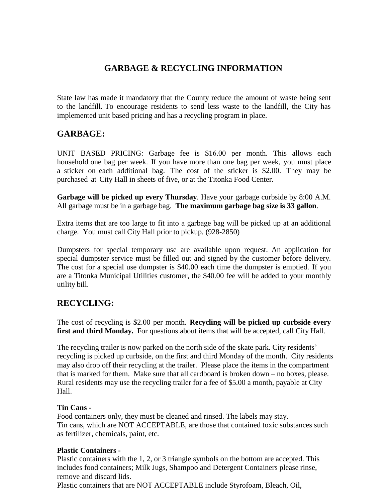# **GARBAGE & RECYCLING INFORMATION**

State law has made it mandatory that the County reduce the amount of waste being sent to the landfill. To encourage residents to send less waste to the landfill, the City has implemented unit based pricing and has a recycling program in place.

## **GARBAGE:**

UNIT BASED PRICING: Garbage fee is \$16.00 per month. This allows each household one bag per week. If you have more than one bag per week, you must place a sticker on each additional bag. The cost of the sticker is \$2.00. They may be purchased at City Hall in sheets of five, or at the Titonka Food Center.

**Garbage will be picked up every Thursday**. Have your garbage curbside by 8:00 A.M. All garbage must be in a garbage bag. **The maximum garbage bag size is 33 gallon**.

Extra items that are too large to fit into a garbage bag will be picked up at an additional charge. You must call City Hall prior to pickup. (928-2850)

Dumpsters for special temporary use are available upon request. An application for special dumpster service must be filled out and signed by the customer before delivery. The cost for a special use dumpster is \$40.00 each time the dumpster is emptied. If you are a Titonka Municipal Utilities customer, the \$40.00 fee will be added to your monthly utility bill.

# **RECYCLING:**

The cost of recycling is \$2.00 per month. **Recycling will be picked up curbside every**  first and third Monday. For questions about items that will be accepted, call City Hall.

The recycling trailer is now parked on the north side of the skate park. City residents' recycling is picked up curbside, on the first and third Monday of the month. City residents may also drop off their recycling at the trailer. Please place the items in the compartment that is marked for them. Make sure that all cardboard is broken down – no boxes, please. Rural residents may use the recycling trailer for a fee of \$5.00 a month, payable at City Hall.

### **Tin Cans -**

Food containers only, they must be cleaned and rinsed. The labels may stay. Tin cans, which are NOT ACCEPTABLE, are those that contained toxic substances such as fertilizer, chemicals, paint, etc.

### **Plastic Containers -**

Plastic containers with the 1, 2, or 3 triangle symbols on the bottom are accepted. This includes food containers; Milk Jugs, Shampoo and Detergent Containers please rinse, remove and discard lids.

Plastic containers that are NOT ACCEPTABLE include Styrofoam, Bleach, Oil,